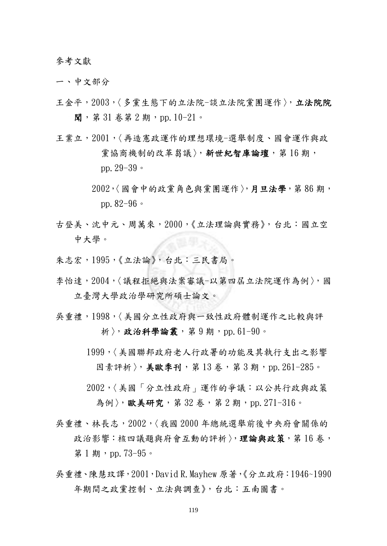參考文獻

一、中文部分

- 王金平,2003,〈多黨生態下的立法院-談立法院黨團運作〉,立法院院 聞,第 31 卷第 2 期,pp.10-21。
- 王業立,2001,〈再造憲政運作的理想環境-選舉制度、國會運作與政 黨協商機制的改革芻議〉,新世紀智庫論壇,第16期, pp.29-39。
	- 2002,〈國會中的政黨角色與黨團運作〉,月旦法學,第 86 期, pp.  $82-96$ .
- 古登美、沈中元、周萬來,2000,《立法理論與實務》,台北:國立空 中大學。
- 朱志宏,1995,《立法論》,台北:三民書局。
- 李怡達,2004,〈議程拒絕與法案審議-以第四屆立法院運作為例〉,國 立臺灣大學政治學研究所碩士論文。
- 吳重禮,1998,〈美國分立性政府與一致性政府體制運作之比較與評 折〉,政治科學論叢,第9期,pp.61-90。
	- 1999,〈美國聯邦政府老人行政署的功能及其執行支出之影響 因素評析〉, 美歐季刊, 第13 卷, 第3期, pp. 261-285。
	- 2002,〈美國「分立性政府」運作的爭議:以公共行政與政策 為例〉,歐美研究,第 32 卷,第 2 期, pp. 271-316。
- 吳重禮、林長志,2002,〈我國 2000 年總統選舉前後中央府會關係的 政治影響:核四議題與府會互動的評析〉,理論與政策,第16卷, 第 1 期, pp. 73-95。
- 吳重禮、陳慧玟譯,2001,David R.Mayhew 原著,《分立政府:1946~1990 年期間之政黨控制、立法與調查》,台北:五南圖書。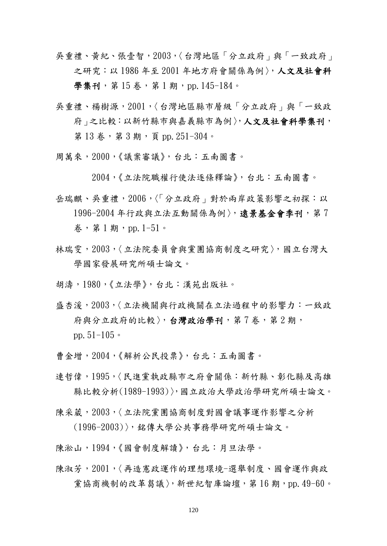- 吳重禮、黃紀、張壹智,2003,〈台灣地區「分立政府」與「一致政府」 之研究:以 1986 年至 2001 年地方府會關係為例〉,人文及社會科 學集刊, 第 15 卷, 第 1 期, pp. 145-184。
- 吳重禮、楊樹源,2001,〈台灣地區縣市層級「分立政府」與「一致政 府」之比較:以新竹縣市與嘉義縣市為例〉,人文及社會科學集刊, 第13卷,第3期,頁 pp. 251-304。
- 周萬來,2000,《議案審議》,台北:五南圖書。

2004,《立法院職權行使法逐條釋論》,台北:五南圖書。

- 岳瑞麒、吳重禮,2006,〈「分立政府」對於兩岸政策影響之初探:以 1996-2004年行政與立法互動關係為例〉,遠景基金會季刊,第7  $*$ , 第1期, pp. 1-51。
- 林瑞雯, 2003,〈立法院委員會與黨團協商制度之研究〉, 國立台灣大 學國家發展研究所碩士論文。
- 胡濤,1980,《立法學》,台北:漢苑出版社。
- 盛杏湲,2003,〈立法機關與行政機關在立法過程中的影響力:一致政 府與分立政府的比較〉,台灣政治學刊,第7卷,第2期, pp.51-105。
- 曹金增,2004,《解析公民投票》,台北:五南圖書。
- 連哲偉,1995,〈民進黨執政縣市之府會關係:新竹縣、彰化縣及高雄 縣比較分析(1989-1993)〉,國立政治大學政治學研究所碩士論文。
- 陳采葳,2003,〈立法院黨團協商制度對國會議事運作影響之分析
	- (1996-2003)〉,銘傳大學公共事務學研究所碩士論文。
- 陳淞山,1994,《國會制度解讀》,台北:月旦法學。
- 陳淑芳,2001,〈再造憲政運作的理想環境-選舉制度、國會運作與政 黨協商機制的改革芻議〉,新世紀智庫論壇,第 16 期, pp. 49-60。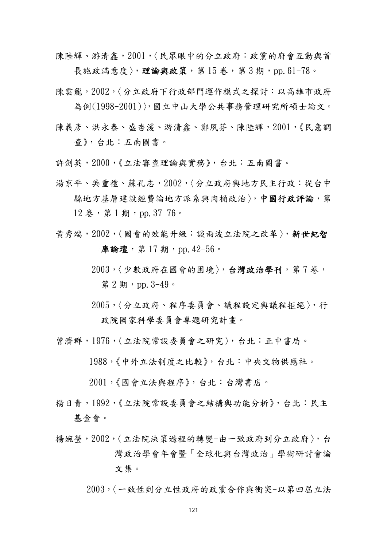陳陸輝、游清鑫, 2001, 〈民眾眼中的分立政府:政黨的府會互動與首 長施政滿意度〉,理論與政策,第15卷,第3期,pp.61-78。

- 陳雲龍,2002,〈分立政府下行政部門運作模式之探討:以高雄市政府 為例(1998-2001)〉,國立中山大學公共事務管理研究所碩士論文。
- 陳義彥、洪永泰、盛杏溪、游清鑫、鄭夙芬、陳陸輝, 2001,《民意調 查》,台北:五南圖書。
- 許劍英,2000,《立法審查理論與實務》,台北:五南圖書。
- 湯京平、吳重禮、蘇孔志,2002,〈分立政府與地方民主行政:從台中 縣地方基層建設經費論地方派系與肉桶政治〉,中國行政評論,第 12 卷,第1期,pp. 37-76。
- 黃秀端,2002,〈國會的效能升級:談兩波立法院之改革〉,新世紀智 庫論壇, 第 17 期, pp. 42-56。
	- 2003,〈少數政府在國會的困境〉,台灣政治學刊,第7卷, 第 2 期, pp.  $3-49$ 。
	- 2005,〈分立政府、程序委員會、議程設定與議程拒絕〉,行 政院國家科學委員會專題研究計畫。
- 曾濟群,1976,〈立法院常設委員會之研究〉,台北:正中書局。
	- 1988,《中外立法制度之比較》,台北:中央文物供應社。
	- 2001,《國會立法與程序》,台北:台灣書店。
- 楊日青,1992,《立法院常設委員會之結構與功能分析》,台北:民主 基金會。
- 楊婉瑩,2002,〈立法院決策過程的轉變-由一致政府到分立政府〉,台 灣政治學會年會暨「全球化與台灣政治」學術研討會論 文集。
	- 2003,〈一致性到分立性政府的政黨合作與衝突-以第四屆立法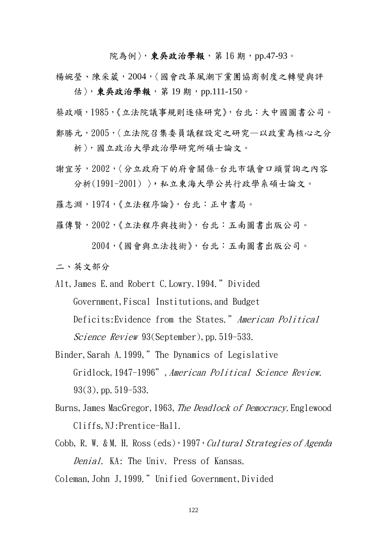院為例〉,東吳政治學報,第16期, pp.47-93。

楊婉瑩、陳采葳,2004,〈國會改革風潮下黨團協商制度之轉變與評 估〉,東吳政治學報,第19期,pp.111-150。

蔡政順,1985,《立法院議事規則逐條研究》,台北:大中國圖書公司。 鄭勝元,2005,〈立法院召集委員議程設定之研究—以政黨為核心之分

析〉,國立政治大學政治學研究所碩士論文。

謝宜芳,2002,〈分立政府下的府會關係-台北市議會口頭質詢之內容 分析(1991-2001) 〉,私立東海大學公共行政學系碩士論文。

羅志淵,1974,《立法程序論》,台北:正中書局。

羅傳賢,2002,《立法程序與技術》,台北:五南圖書出版公司。

2004,《國會與立法技術》,台北:五南圖書出版公司。

二、英文部分

Alt, James E. and Robert C. Lowry. 1994." Divided Government,Fiscal Institutions,and Budget Deficits: Evidence from the States." American Political Science Review 93(September), pp. 519-533.

Binder,Sarah A.1999,"The Dynamics of Legislative Gridlock,1947-1996",American Political Science Review.  $93(3)$ , pp.  $519-533$ .

Burns, James MacGregor, 1963, The Deadlock of Democracy. Englewood Cliffs,NJ:Prentice-Hall.

Cobb, R. W. & M. H. Ross  $(eds)$ , 1997, Cultural Strategies of Agenda Denial. KA: The Univ. Press of Kansas.

Coleman, John J, 1999." Unified Government, Divided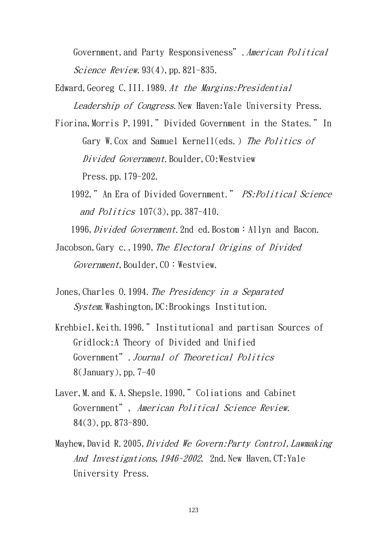Government,and Party Responsiveness".American Political Science Review.  $93(4)$ , pp.  $821-835$ .

Edward, Georeg C.III.1989. At the Margins: Presidential Leadership of Congress. New Haven: Yale University Press.

Fiorina, Morris P, 1991," Divided Government in the States." In Gary W. Cox and Samuel Kernell(eds.) The Politics of Divided Government. Boulder, CO: Westview Press.pp.179-202.

1992," An Era of Divided Government." PS: Political Science and Politics  $107(3)$ , pp. 387-410.

1996, Divided Government. 2nd ed. Bostom: Allyn and Bacon.

- Jacobson, Gary c., 1990, The Electoral Origins of Divided  $Government$ , Boulder,  $CO:W$ estview.
- Jones, Charles 0.1994. The Presidency in a Separated System. Washington, DC: Brookings Institution.
- Krehbiel, Keith. 1996." Institutional and partisan Sources of Gridlock:A Theory of Divided and Unified Government".Journal of Theoretical Politics  $8$ (January), pp.  $7-40$
- Laver, M. and K.A. Shepsle. 1990," Coliations and Cabinet Government", American Political Science Review. 84(3),pp.873-890.
- Mayhew, David R. 2005, *Divided We Govern: Party Control, Lawmaking* And Investigations, 1946~2002, 2nd. New Haven, CT: Yale University Press.